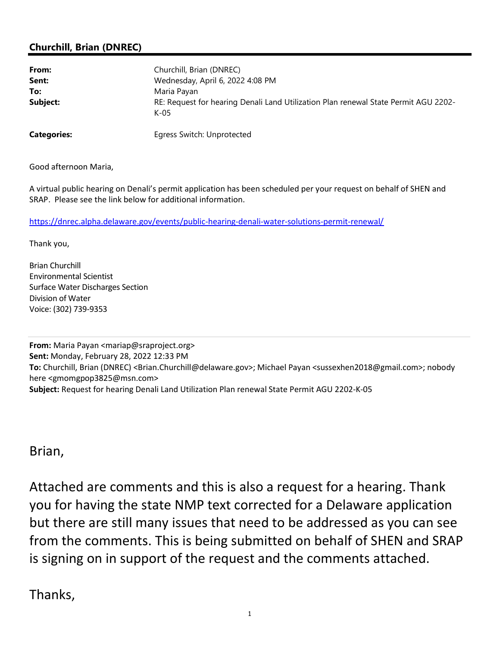## Churchill, Brian (DNREC)

| From:              | Churchill, Brian (DNREC)                                                                    |
|--------------------|---------------------------------------------------------------------------------------------|
| Sent:              | Wednesday, April 6, 2022 4:08 PM                                                            |
| To:                | Maria Payan                                                                                 |
| Subject:           | RE: Request for hearing Denali Land Utilization Plan renewal State Permit AGU 2202-<br>K-05 |
| <b>Categories:</b> | Egress Switch: Unprotected                                                                  |

Good afternoon Maria,

A virtual public hearing on Denali's permit application has been scheduled per your request on behalf of SHEN and SRAP. Please see the link below for additional information.

https://dnrec.alpha.delaware.gov/events/public-hearing-denali-water-solutions-permit-renewal/

Thank you,

Brian Churchill Environmental Scientist Surface Water Discharges Section Division of Water Voice: (302) 739-9353

From: Maria Payan <mariap@sraproject.org> Sent: Monday, February 28, 2022 12:33 PM To: Churchill, Brian (DNREC) <Brian.Churchill@delaware.gov>; Michael Payan <sussexhen2018@gmail.com>; nobody here <gmomgpop3825@msn.com> Subject: Request for hearing Denali Land Utilization Plan renewal State Permit AGU 2202-K-05

Brian,

Attached are comments and this is also a request for a hearing. Thank you for having the state NMP text corrected for a Delaware application but there are still many issues that need to be addressed as you can see from the comments. This is being submitted on behalf of SHEN and SRAP is signing on in support of the request and the comments attached.

Thanks,